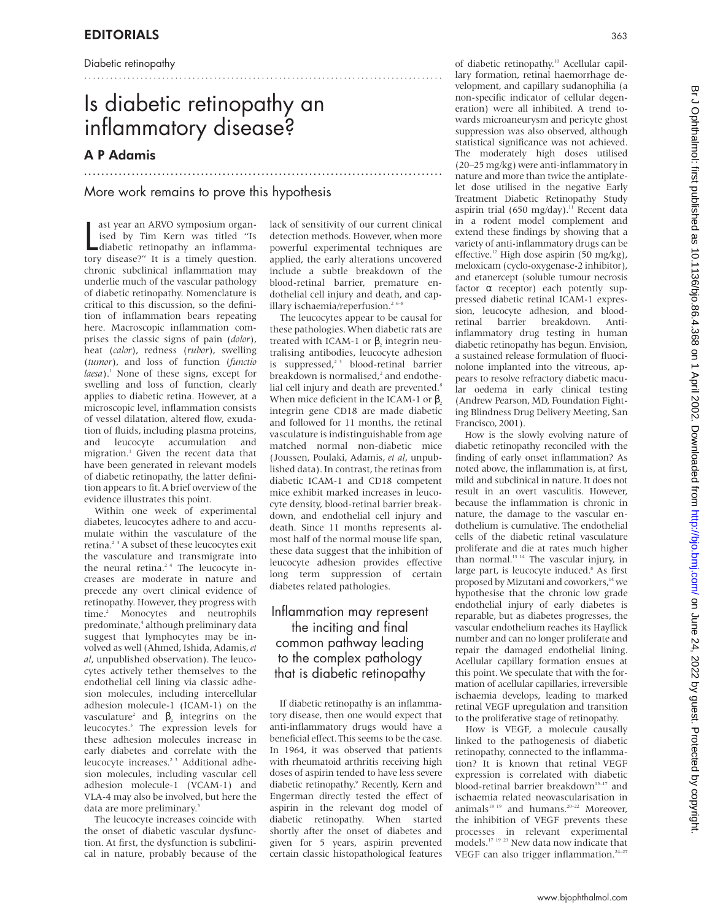Diabetic retinopathy

# Is diabetic retinopathy an inflammatory disease?

...................................................................................

...................................................................................

# A P Adamis

## More work remains to prove this hypothesis

ast year an ARVO symposium organised by Tim Kern was titled "Is<br>diabetic retinopathy an inflamma-<br>tory disease?" It is a timely question. ast year an ARVO symposium organised by Tim Kern was titled "Is diabetic retinopathy an inflammachronic subclinical inflammation may underlie much of the vascular pathology of diabetic retinopathy. Nomenclature is critical to this discussion, so the definition of inflammation bears repeating here. Macroscopic inflammation comprises the classic signs of pain (*dolor*), heat (*calor*), redness (*rubor*), swelling (*tumor*), and loss of function (*functio laesa*).<sup>1</sup> None of these signs, except for swelling and loss of function, clearly applies to diabetic retina. However, at a microscopic level, inflammation consists of vessel dilatation, altered flow, exudation of fluids, including plasma proteins, and leucocyte accumulation and migration.<sup>1</sup> Given the recent data that have been generated in relevant models of diabetic retinopathy, the latter definition appears to fit. A brief overview of the evidence illustrates this point.

Within one week of experimental diabetes, leucocytes adhere to and accumulate within the vasculature of the retina.<sup>23</sup> A subset of these leucocytes exit the vasculature and transmigrate into the neural retina.<sup>24</sup> The leucocyte increases are moderate in nature and precede any overt clinical evidence of retinopathy. However, they progress with time.<sup>2</sup> Monocytes and neutrophils predominate,<sup>4</sup> although preliminary data suggest that lymphocytes may be involved as well (Ahmed, Ishida, Adamis,*et al*, unpublished observation). The leucocytes actively tether themselves to the endothelial cell lining via classic adhesion molecules, including intercellular adhesion molecule-1 (ICAM-1) on the vasculature<sup>2</sup> and  $β$ , integrins on the leucocytes.3 The expression levels for these adhesion molecules increase in early diabetes and correlate with the leucocyte increases.<sup>23</sup> Additional adhesion molecules, including vascular cell adhesion molecule-1 (VCAM-1) and VLA-4 may also be involved, but here the data are more preliminary.<sup>5</sup>

The leucocyte increases coincide with the onset of diabetic vascular dysfunction. At first, the dysfunction is subclinical in nature, probably because of the

lack of sensitivity of our current clinical detection methods. However, when more powerful experimental techniques are applied, the early alterations uncovered include a subtle breakdown of the blood-retinal barrier, premature endothelial cell injury and death, and capillary ischaemia/reperfusion.<sup>2</sup>

The leucocytes appear to be causal for these pathologies. When diabetic rats are treated with ICAM-1 or  $β$ , integrin neutralising antibodies, leucocyte adhesion is suppressed,<sup>23</sup> blood-retinal barrier breakdown is normalised,<sup>2</sup> and endothelial cell injury and death are prevented.<sup>8</sup> When mice deficient in the ICAM-1 or  $\beta$ . integrin gene CD18 are made diabetic and followed for 11 months, the retinal vasculature is indistinguishable from age matched normal non-diabetic mice (Joussen, Poulaki, Adamis, *et al*, unpublished data). In contrast, the retinas from diabetic ICAM-1 and CD18 competent mice exhibit marked increases in leucocyte density, blood-retinal barrier breakdown, and endothelial cell injury and death. Since 11 months represents almost half of the normal mouse life span, these data suggest that the inhibition of leucocyte adhesion provides effective long term suppression of certain diabetes related pathologies.

## Inflammation may represent the inciting and final common pathway leading to the complex pathology that is diabetic retinopathy

If diabetic retinopathy is an inflammatory disease, then one would expect that anti-inflammatory drugs would have a beneficial effect. This seems to be the case. In 1964, it was observed that patients with rheumatoid arthritis receiving high doses of aspirin tended to have less severe diabetic retinopathy.<sup>9</sup> Recently, Kern and Engerman directly tested the effect of aspirin in the relevant dog model of diabetic retinopathy. When started shortly after the onset of diabetes and given for 5 years, aspirin prevented certain classic histopathological features

of diabetic retinopathy.<sup>10</sup> Acellular capillary formation, retinal haemorrhage development, and capillary sudanophilia (a non-specific indicator of cellular degeneration) were all inhibited. A trend towards microaneurysm and pericyte ghost suppression was also observed, although statistical significance was not achieved. The moderately high doses utilised (20–25 mg/kg) were anti-inflammatory in nature and more than twice the antiplatelet dose utilised in the negative Early Treatment Diabetic Retinopathy Study aspirin trial (650 mg/day).<sup>11</sup> Recent data in a rodent model complement and extend these findings by showing that a variety of anti-inflammatory drugs can be effective.<sup>12</sup> High dose aspirin (50 mg/kg), meloxicam (cyclo-oxygenase-2 inhibitor), and etanercept (soluble tumour necrosis factor α receptor) each potently suppressed diabetic retinal ICAM-1 expression, leucocyte adhesion, and blood-<br>retinal barrier breakdown. Antiretinal barrier breakdown. Antiinflammatory drug testing in human diabetic retinopathy has begun. Envision, a sustained release formulation of fluocinolone implanted into the vitreous, appears to resolve refractory diabetic macular oedema in early clinical testing (Andrew Pearson, MD, Foundation Fighting Blindness Drug Delivery Meeting, San Francisco, 2001).

How is the slowly evolving nature of diabetic retinopathy reconciled with the finding of early onset inflammation? As noted above, the inflammation is, at first, mild and subclinical in nature. It does not result in an overt vasculitis. However, because the inflammation is chronic in nature, the damage to the vascular endothelium is cumulative. The endothelial cells of the diabetic retinal vasculature proliferate and die at rates much higher than normal. $13 14$  The vascular injury, in large part, is leucocyte induced.<sup>8</sup> As first proposed by Mizutani and coworkers,<sup>14</sup> we hypothesise that the chronic low grade endothelial injury of early diabetes is reparable, but as diabetes progresses, the vascular endothelium reaches its Hayflick number and can no longer proliferate and repair the damaged endothelial lining. Acellular capillary formation ensues at this point. We speculate that with the formation of acellular capillaries, irreversible ischaemia develops, leading to marked retinal VEGF upregulation and transition to the proliferative stage of retinopathy.

How is VEGF, a molecule causally linked to the pathogenesis of diabetic retinopathy, connected to the inflammation? It is known that retinal VEGF expression is correlated with diabetic blood-retinal barrier breakdown<sup>15-17</sup> and ischaemia related neovascularisation in animals<sup>18 19</sup> and humans.<sup>20-22</sup> Moreover, the inhibition of VEGF prevents these processes in relevant experimental models.<sup>17 19</sup> <sup>23</sup> New data now indicate that VEGF can also trigger inflammation.<sup>24-27</sup>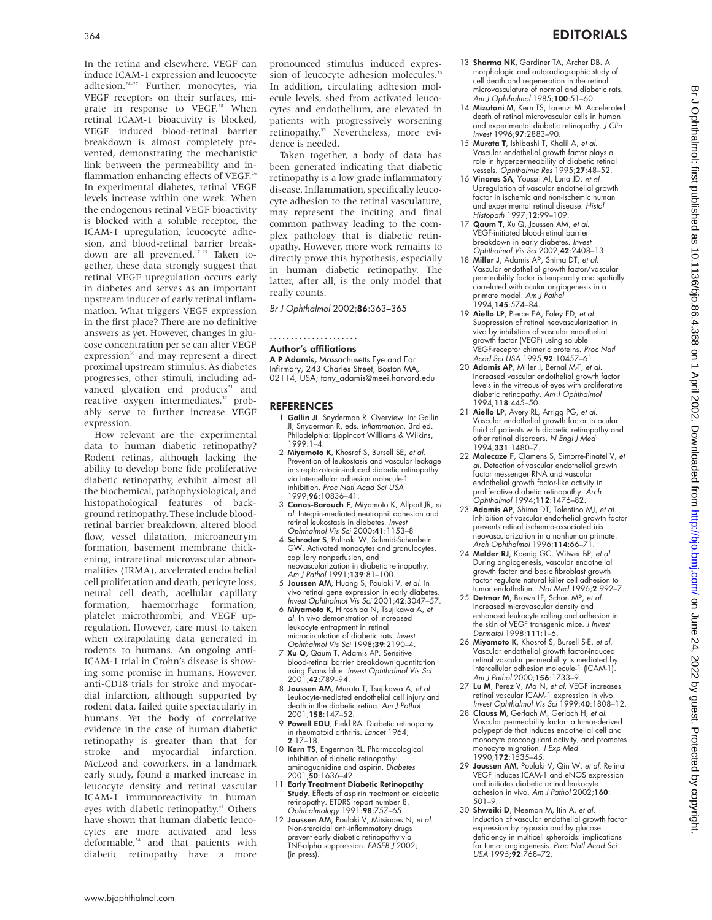In the retina and elsewhere, VEGF can induce ICAM-1 expression and leucocyte adhesion.24–27 Further, monocytes, via VEGF receptors on their surfaces, migrate in response to VEGF.<sup>28</sup> When retinal ICAM-1 bioactivity is blocked, VEGF induced blood-retinal barrier breakdown is almost completely prevented, demonstrating the mechanistic link between the permeability and inflammation enhancing effects of VEGF.<sup>26</sup> In experimental diabetes, retinal VEGF levels increase within one week. When the endogenous retinal VEGF bioactivity is blocked with a soluble receptor, the ICAM-1 upregulation, leucocyte adhesion, and blood-retinal barrier breakdown are all prevented.17 29 Taken together, these data strongly suggest that retinal VEGF upregulation occurs early in diabetes and serves as an important upstream inducer of early retinal inflammation. What triggers VEGF expression in the first place? There are no definitive answers as yet. However, changes in glucose concentration per se can alter VEGF expression<sup>30</sup> and may represent a direct proximal upstream stimulus. As diabetes progresses, other stimuli, including advanced glycation end products<sup>31</sup> and reactive oxygen intermediates,<sup>32</sup> probably serve to further increase VEGF expression.

How relevant are the experimental data to human diabetic retinopathy? Rodent retinas, although lacking the ability to develop bone fide proliferative diabetic retinopathy, exhibit almost all the biochemical, pathophysiological, and histopathological features of background retinopathy. These include bloodretinal barrier breakdown, altered blood flow, vessel dilatation, microaneurym formation, basement membrane thickening, intraretinal microvascular abnormalities (IRMA), accelerated endothelial cell proliferation and death, pericyte loss, neural cell death, acellular capillary formation, haemorrhage formation, platelet microthrombi, and VEGF upregulation. However, care must to taken when extrapolating data generated in rodents to humans. An ongoing anti-ICAM-1 trial in Crohn's disease is showing some promise in humans. However, anti-CD18 trials for stroke and myocardial infarction, although supported by rodent data, failed quite spectacularly in humans. Yet the body of correlative evidence in the case of human diabetic retinopathy is greater than that for stroke and myocardial infarction. McLeod and coworkers, in a landmark early study, found a marked increase in leucocyte density and retinal vascular ICAM-1 immunoreactivity in human eyes with diabetic retinopathy.<sup>33</sup> Others have shown that human diabetic leucocytes are more activated and less deformable,<sup>34</sup> and that patients with diabetic retinopathy have a more pronounced stimulus induced expression of leucocyte adhesion molecules.<sup>33</sup> In addition, circulating adhesion molecule levels, shed from activated leucocytes and endothelium, are elevated in patients with progressively worsening retinopathy.<sup>35</sup> Nevertheless, more evidence is needed.

Taken together, a body of data has been generated indicating that diabetic retinopathy is a low grade inflammatory disease. Inflammation, specifically leucocyte adhesion to the retinal vasculature, may represent the inciting and final common pathway leading to the complex pathology that is diabetic retinopathy. However, more work remains to directly prove this hypothesis, especially in human diabetic retinopathy. The latter, after all, is the only model that really counts.

Br J Ophthalmol 2002;86:363–365

.....................

#### Author's affiliations

A P Adamis, Massachusetts Eye and Ear Infirmary, 243 Charles Street, Boston MA, 02114, USA; tony\_adamis@meei.harvard.edu

#### REFERENCES

- 1 Gallin JI, Snyderman R. Overview. In: Gallin JI, Snyderman R, eds. Inflammation. 3rd ed. Philadelphia: Lippincott Williams & Wilkins, 1999:1–4.
- 2 Miyamoto K, Khosrof S, Bursell SE, et al. Prevention of leukostasis and vascular leakage in streptozotocin-induced diabetic retinopathy via intercellular adhesion molecule-1 inhibition. Proc Natl Acad Sci USA 1999;96:10836–41.
- 3 Canas-Barouch F, Miyamoto K, Allport JR, et al. Integrin-mediated neutrophil adhesion and retinal leukostasis in diabetes. Invest Ophthalmol Vis Sci 2000;41:1153–8
- 4 Schroder S, Palinski W, Schmid-Schonbein GW. Activated monocytes and granulocytes, capillary nonperfusion, and neovascularization in diabetic retinopathy. Am J Pathol 1991;139:81–100.
- 5 Joussen AM, Huang S, Poulaki V, et al. In vivo retinal gene expression in early diabetes. Invest Ophthalmol Vis Sci 2001;42:3047–57.
- 6 Miyamoto K, Hiroshiba N, Tsujikawa A, et al. In vivo demonstration of increased leukocyte entrapment in retinal microcirculation of diabetic rats. Invest Ophthalmol Vis Sci 1998;39:2190–4.
- 7 Xu Q, Qaum T, Adamis AP. Sensitive blood-retinal barrier breakdown quantitation using Evans blue. Invest Ophthalmol Vis Sci 2001;42:789–94.
- 8 **Joussen AM**, Murata T, Tsujikawa A, et al. Leukocyte-mediated endothelial cell injury and death in the diabetic retina. Am J Pathol 2001;158:147–52.
- 9 Powell EDU, Field RA. Diabetic retinopathy in rheumatoid arthritis. Lancet 1964; 2:17–18.
- 10 Kern TS, Engerman RL. Pharmacological inhibition of diabetic retinopathy: aminoguanidine and aspirin. Diabetes 2001;50:1636–42.
- 11 Early Treatment Diabetic Retinopathy Study. Effects of aspirin treatment on diabetic retinopathy. ETDRS report number 8.
- Ophthalmology 1991:**98**;757–65.<br>12 **Joussen AM**, Poulaki V, Mitsiades N, et al. Non-steroidal anti-inflammatory drugs prevent early diabetic retinopathy via TNF-alpha suppression. FASEB J 2002; (in press).
- 13 Sharma NK, Gardiner TA, Archer DB. A morphologic and autoradiographic study of cell death and regeneration in the retinal microvasculature of normal and diabetic rats. Am J Ophthalmol 1985;100:51-60.
- 14 Mizutani M, Kern TS, Lorenzi M. Accelerated death of retinal microvascular cells in human and experimental diabetic retinopathy. J Clin Invest 1996;97:2883–90.
- 15 Murata T, Ishibashi T, Khalil A, et al. Vascular endothelial growth factor plays a role in hyperpermeability of diabetic retinal vessels. Ophthalmic Res 1995;27:48–52.
- 16 Vinores SA, Youssri AI, Luna JD, et al. Upregulation of vascular endothelial growth factor in ischemic and non-ischemic human and experimental retinal disease. Histol Histopath 1997;12:99–109.
- 17 Qaum T, Xu Q, Joussen AM, et al. VEGF-initiated blood-retinal barrier breakdown in early diabetes. Invest Ophthalmol Vis Sci 2002;42:2408–13.
- 18 Miller J, Adamis AP, Shima DT, et al. Vascular endothelial growth factor/vascular permeability factor is temporally and spatially correlated with ocular angiogenesis in a primate model. Am J Pathol 1994·**145**:574–84
- 19 Aiello LP, Pierce EA, Foley ED, et al. Suppression of retinal neovascularization in vivo by inhibition of vascular endothelial growth factor (VEGF) using soluble<br>VEGF-receptor chimeric proteins. *Proc Natl* Acad Sci USA 1995;92:10457-61.
- 20 Adamis AP, Miller J, Bernal M-T, et al. Increased vascular endothelial growth factor levels in the vitreous of eyes with proliferative diabetic retinopathy. Am J Ophthalmol  $1994 \cdot 118 \cdot 445 - 50$
- 21 Aiello LP, Avery RL, Arrigg PG, et al.<br>Vascular endothelial growth factor in ocular fluid of patients with diabetic retinopathy and other retinal disorders. N Engl J Med 1994;331:1480–7.
- 22 Malecaze F, Clamens S, Simorre-Pinatel V, et al. Detection of vascular endothelial growth factor messenger RNA and vascular endothelial growth factor-like activity in proliferative diabetic retinopathy. *Arch*<br>Ophthalmol 1994;**112**:1476–82.
- 23 Adamis AP, Shima DT, Tolentino MJ, et al. Inhibition of vascular endothelial growth factor prevents retinal ischemia-associated iris neovascularization in a nonhuman primate. Arch Ophthalmol 1996;114:66–71.
- 24 Melder RJ, Koenig GC, Witwer BP, et al. During angiogenesis, vascular endothelial growth factor and basic fibroblast growth factor regulate natural killer cell adhesion to tumor endothelium. Nat Med 1996;2:992–7.
- 25 Detmar M, Brown LF, Schon MP, et al. Increased microvascular density and enhanced leukocyte rolling and adhesion in the skin of VEGF transgenic mice. J Invest Dermatol 1998;111:1-6.
- 26 Miyamoto K, Khosrof S, Bursell S-E, et al. Vascular endothelial growth factor-induced retinal vascular permeability is mediated by intercellular adhesion molecule-1 (ICAM-1). Am J Pathol 2000;156:1733-9.
- 27 Lu M, Perez V, Ma N, et al. VEGF increases retinal vascular ICAM-1 expression in vivo. Invest Ophthalmol Vis Sci 1999;40:1808–12.
- 28 Clauss M, Gerlach M, Gerlach H, et al. Vascular permeability factor: a tumor-derived polypeptide that induces endothelial cell and monocyte procoagulant activity, and promotes monocyte migration. J Exp Med 1990;172:1535-45.
- 29 Joussen AM, Poulaki V, Qin W, et al. Retinal VEGF induces ICAM-1 and eNOS expression and initiates diabetic retinal leukocyte adhesion in vivo. Am J Pathol 2002;160: 501–9.
- 30 Shweiki D, Neeman M, Itin A, et al. Induction of vascular endothelial growth factor expression by hypoxia and by glucose deficiency in multicell spheroids: implications for tumor angiogenesis. Proc Natl Acad Sci USA 1995:92:768-72.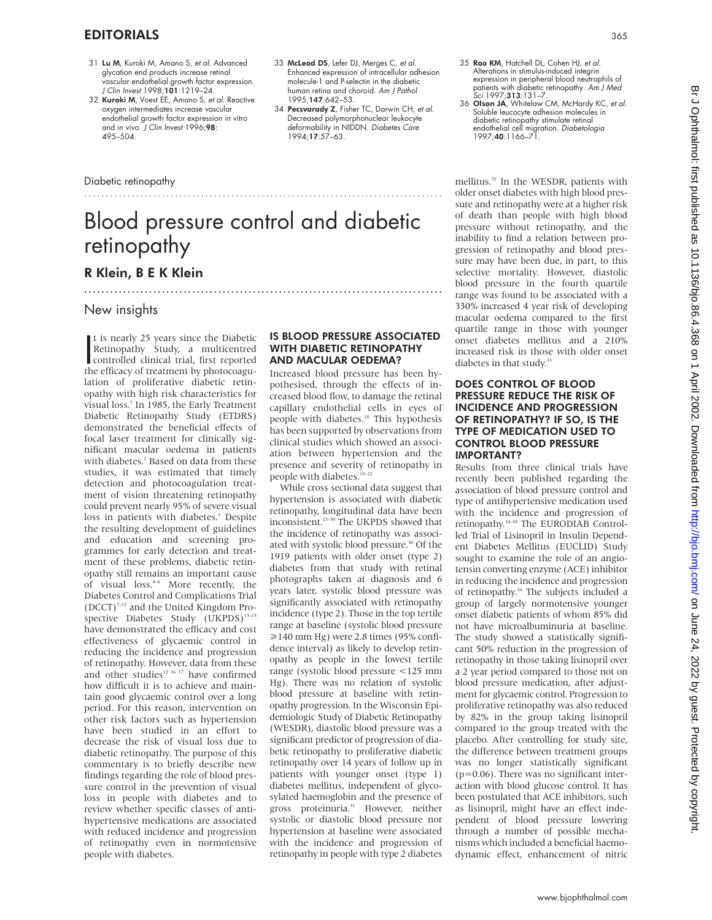## EDITORIALS <sup>365</sup>

- 31 Lu M, Kuroki M, Amano S, et al. Advanced glycation end products increase retinal vascular endothelial growth factor expression. J Clin Invest 1998;101:1219-24.
- 32 Kuroki M, Voest EE, Amano S, et al. Reactive oxygen intermediates increase vascular endothelial growth factor expression in vitro and in vivo. J Clin Invest 1996;98: 495–504.

### Diabetic retinopathy

# Blood pressure control and diabetic retinopathy

...................................................................................

...................................................................................

## R Klein, B E K Klein

## New insights

t is nearly 25 years since the Diabetic<br>
Retinopathy Study, a multicentred<br>
controlled clinical trial, first reported<br>
the efficacy of treatment by photocoagut is nearly 25 years since the Diabetic Retinopathy Study, a multicentred the efficacy of treatment by photocoagulation of proliferative diabetic retinopathy with high risk characteristics for visual loss.<sup>1</sup> In 1985, the Early Treatment Diabetic Retinopathy Study (ETDRS) demonstrated the beneficial effects of focal laser treatment for clinically significant macular oedema in patients with diabetes.<sup>2</sup> Based on data from these studies, it was estimated that timely detection and photocoagulation treatment of vision threatening retinopathy could prevent nearly 95% of severe visual loss in patients with diabetes.<sup>3</sup> Despite the resulting development of guidelines and education and screening programmes for early detection and treatment of these problems, diabetic retinopathy still remains an important cause of visual loss.<sup>4-6</sup> More recently, the Diabetes Control and Complications Trial  $(DCCT)^{7-12}$  and the United Kingdom Prospective Diabetes Study (UKPDS)<sup>13-15</sup> have demonstrated the efficacy and cost effectiveness of glycaemic control in reducing the incidence and progression of retinopathy. However, data from these and other studies<sup>12 16 17</sup> have confirmed how difficult it is to achieve and maintain good glycaemic control over a long period. For this reason, intervention on other risk factors such as hypertension have been studied in an effort to decrease the risk of visual loss due to diabetic retinopathy. The purpose of this commentary is to briefly describe new findings regarding the role of blood pressure control in the prevention of visual loss in people with diabetes and to review whether specific classes of antihypertensive medications are associated with reduced incidence and progression of retinopathy even in normotensive people with diabetes.

#### IS BLOOD PRESSURE ASSOCIATED WITH DIABETIC RETINOPATHY AND MACULAR OEDEMA?

33 McLeod DS, Lefer DJ, Merges C, et al. Enhanced expression of intracellular adhesion molecule-1 and P-selectin in the diabetic human retina and choroid. Am J Pathol

34 Pecsvarady Z, Fisher TC, Darwin CH, et al. Decreased polymorphonuclear leukocyte deformability in NIDDN. Diabetes Care

1995;147:642–53.

1994;17:57–63.

Increased blood pressure has been hypothesised, through the effects of increased blood flow, to damage the retinal capillary endothelial cells in eyes of people with diabetes.<sup>18</sup> This hypothesis has been supported by observations from clinical studies which showed an association between hypertension and the presence and severity of retinopathy in people with diabetes.<sup>19-22</sup>

While cross sectional data suggest that hypertension is associated with diabetic retinopathy, longitudinal data have been inconsistent.23–30 The UKPDS showed that the incidence of retinopathy was associated with systolic blood pressure.<sup>30</sup> Of the 1919 patients with older onset (type 2) diabetes from that study with retinal photographs taken at diagnosis and 6 years later, systolic blood pressure was significantly associated with retinopathy incidence (type 2). Those in the top tertile range at baseline (systolic blood pressure  $\geq$  140 mm Hg) were 2.8 times (95% confidence interval) as likely to develop retinopathy as people in the lowest tertile range (systolic blood pressure <125 mm Hg). There was no relation of systolic blood pressure at baseline with retinopathy progression. In the Wisconsin Epidemiologic Study of Diabetic Retinopathy (WESDR), diastolic blood pressure was a significant predictor of progression of diabetic retinopathy to proliferative diabetic retinopathy over 14 years of follow up in patients with younger onset (type 1) diabetes mellitus, independent of glycosylated haemoglobin and the presence of gross proteinuria.<sup>31</sup> However, neither systolic or diastolic blood pressure nor hypertension at baseline were associated with the incidence and progression of retinopathy in people with type 2 diabetes

- 35 Rao KM, Hatchell DL, Cohen HJ, et al. Alterations in stimulus-induced integrin expression in peripheral blood neutrophils of patients with diabetic retinopathy. *Am J Med*<br>Sci 1997;**313**:131–7.
- 36 Olson JA, Whitelaw CM, McHardy KC, et al. Soluble leucocyte adhesion molecules in diabetic retinopathy stimulate retinal endothelial cell migration. Diabetologia 1997;40:1166–71.

mellitus.32 In the WESDR, patients with older onset diabetes with high blood pressure and retinopathy were at a higher risk of death than people with high blood pressure without retinopathy, and the inability to find a relation between progression of retinopathy and blood pressure may have been due, in part, to this selective mortality. However, diastolic blood pressure in the fourth quartile range was found to be associated with a 330% increased 4 year risk of developing macular oedema compared to the first quartile range in those with younger onset diabetes mellitus and a 210% increased risk in those with older onset diabetes in that study.<sup>33</sup>

#### DOES CONTROL OF BLOOD PRESSURE REDUCE THE RISK OF INCIDENCE AND PROGRESSION OF RETINOPATHY? IF SO, IS THE TYPE OF MEDICATION USED TO CONTROL BLOOD PRESSURE IMPORTANT?

Results from three clinical trials have recently been published regarding the association of blood pressure control and type of antihypertensive medication used with the incidence and progression of retinopathy.34–38 The EURODIAB Controlled Trial of Lisinopril in Insulin Dependent Diabetes Mellitus (EUCLID) Study sought to examine the role of an angiotensin converting enzyme (ACE) inhibitor in reducing the incidence and progression of retinopathy.<sup>34</sup> The subjects included a group of largely normotensive younger onset diabetic patients of whom 85% did not have microalbuminuria at baseline. The study showed a statistically significant 50% reduction in the progression of retinopathy in those taking lisinopril over a 2 year period compared to those not on blood pressure medication, after adjustment for glycaemic control. Progression to proliferative retinopathy was also reduced by 82% in the group taking lisinopril compared to the group treated with the placebo. After controlling for study site, the difference between treatment groups was no longer statistically significant (p=0.06). There was no significant interaction with blood glucose control. It has been postulated that ACE inhibitors, such as lisinopril, might have an effect independent of blood pressure lowering through a number of possible mechanisms which included a beneficial haemodynamic effect, enhancement of nitric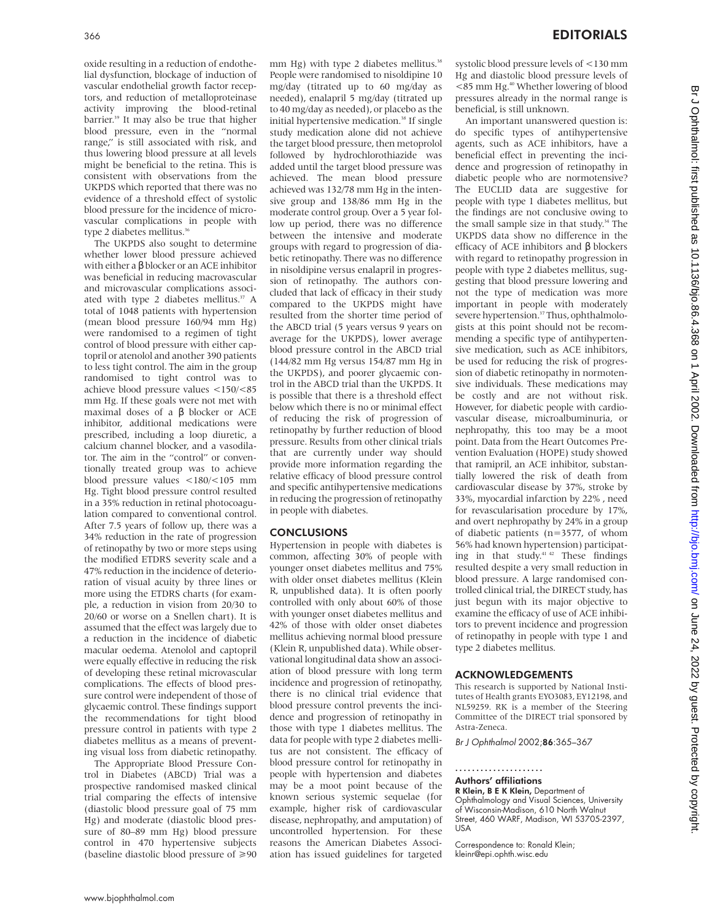oxide resulting in a reduction of endothelial dysfunction, blockage of induction of vascular endothelial growth factor receptors, and reduction of metalloproteinase activity improving the blood-retinal barrier.39 It may also be true that higher blood pressure, even in the "normal range," is still associated with risk, and thus lowering blood pressure at all levels might be beneficial to the retina. This is consistent with observations from the UKPDS which reported that there was no evidence of a threshold effect of systolic blood pressure for the incidence of microvascular complications in people with type 2 diabetes mellitus.<sup>36</sup>

The UKPDS also sought to determine whether lower blood pressure achieved with either a β blocker or an ACE inhibitor was beneficial in reducing macrovascular and microvascular complications associated with type 2 diabetes mellitus.<sup>37</sup> A total of 1048 patients with hypertension (mean blood pressure 160/94 mm Hg) were randomised to a regimen of tight control of blood pressure with either captopril or atenolol and another 390 patients to less tight control. The aim in the group randomised to tight control was to achieve blood pressure values <150/<85 mm Hg. If these goals were not met with maximal doses of a β blocker or ACE inhibitor, additional medications were prescribed, including a loop diuretic, a calcium channel blocker, and a vasodilator. The aim in the "control" or conventionally treated group was to achieve blood pressure values <180/<105 mm Hg. Tight blood pressure control resulted in a 35% reduction in retinal photocoagulation compared to conventional control. After 7.5 years of follow up, there was a 34% reduction in the rate of progression of retinopathy by two or more steps using the modified ETDRS severity scale and a 47% reduction in the incidence of deterioration of visual acuity by three lines or more using the ETDRS charts (for example, a reduction in vision from 20/30 to 20/60 or worse on a Snellen chart). It is assumed that the effect was largely due to a reduction in the incidence of diabetic macular oedema. Atenolol and captopril were equally effective in reducing the risk of developing these retinal microvascular complications. The effects of blood pressure control were independent of those of glycaemic control. These findings support the recommendations for tight blood pressure control in patients with type 2 diabetes mellitus as a means of preventing visual loss from diabetic retinopathy.

The Appropriate Blood Pressure Control in Diabetes (ABCD) Trial was a prospective randomised masked clinical trial comparing the effects of intensive (diastolic blood pressure goal of 75 mm Hg) and moderate (diastolic blood pressure of 80–89 mm Hg) blood pressure control in 470 hypertensive subjects (baseline diastolic blood pressure of  $\geq 90$ 

mm Hg) with type 2 diabetes mellitus.<sup>38</sup> People were randomised to nisoldipine 10 mg/day (titrated up to 60 mg/day as needed), enalapril 5 mg/day (titrated up to 40 mg/day as needed), or placebo as the initial hypertensive medication.<sup>38</sup> If single study medication alone did not achieve the target blood pressure, then metoprolol followed by hydrochlorothiazide was added until the target blood pressure was achieved. The mean blood pressure achieved was 132/78 mm Hg in the intensive group and 138/86 mm Hg in the moderate control group. Over a 5 year follow up period, there was no difference between the intensive and moderate groups with regard to progression of diabetic retinopathy. There was no difference in nisoldipine versus enalapril in progression of retinopathy. The authors concluded that lack of efficacy in their study compared to the UKPDS might have resulted from the shorter time period of the ABCD trial (5 years versus 9 years on average for the UKPDS), lower average blood pressure control in the ABCD trial (144/82 mm Hg versus 154/87 mm Hg in the UKPDS), and poorer glycaemic control in the ABCD trial than the UKPDS. It is possible that there is a threshold effect below which there is no or minimal effect of reducing the risk of progression of retinopathy by further reduction of blood pressure. Results from other clinical trials that are currently under way should provide more information regarding the relative efficacy of blood pressure control and specific antihypertensive medications in reducing the progression of retinopathy in people with diabetes.

## **CONCLUSIONS**

Hypertension in people with diabetes is common, affecting 30% of people with younger onset diabetes mellitus and 75% with older onset diabetes mellitus (Klein R, unpublished data). It is often poorly controlled with only about 60% of those with younger onset diabetes mellitus and 42% of those with older onset diabetes mellitus achieving normal blood pressure (Klein R, unpublished data). While observational longitudinal data show an association of blood pressure with long term incidence and progression of retinopathy, there is no clinical trial evidence that blood pressure control prevents the incidence and progression of retinopathy in those with type 1 diabetes mellitus. The data for people with type 2 diabetes mellitus are not consistent. The efficacy of blood pressure control for retinopathy in people with hypertension and diabetes may be a moot point because of the known serious systemic sequelae (for example, higher risk of cardiovascular disease, nephropathy, and amputation) of uncontrolled hypertension. For these reasons the American Diabetes Association has issued guidelines for targeted

systolic blood pressure levels of <130 mm Hg and diastolic blood pressure levels of <85 mm Hg.40 Whether lowering of blood pressures already in the normal range is beneficial, is still unknown.

An important unanswered question is: do specific types of antihypertensive agents, such as ACE inhibitors, have a beneficial effect in preventing the incidence and progression of retinopathy in diabetic people who are normotensive? The EUCLID data are suggestive for people with type 1 diabetes mellitus, but the findings are not conclusive owing to the small sample size in that study.<sup>34</sup> The UKPDS data show no difference in the efficacy of ACE inhibitors and β blockers with regard to retinopathy progression in people with type 2 diabetes mellitus, suggesting that blood pressure lowering and not the type of medication was more important in people with moderately severe hypertension.<sup>37</sup> Thus, ophthalmologists at this point should not be recommending a specific type of antihypertensive medication, such as ACE inhibitors, be used for reducing the risk of progression of diabetic retinopathy in normotensive individuals. These medications may be costly and are not without risk. However, for diabetic people with cardiovascular disease, microalbuminuria, or nephropathy, this too may be a moot point. Data from the Heart Outcomes Prevention Evaluation (HOPE) study showed that ramipril, an ACE inhibitor, substantially lowered the risk of death from cardiovascular disease by 37%, stroke by 33%, myocardial infarction by 22% , need for revascularisation procedure by 17%, and overt nephropathy by 24% in a group of diabetic patients (n=3577, of whom 56% had known hypertension) participating in that study.41 42 These findings resulted despite a very small reduction in blood pressure. A large randomised controlled clinical trial, the DIRECT study, has just begun with its major objective to examine the efficacy of use of ACE inhibitors to prevent incidence and progression of retinopathy in people with type 1 and type 2 diabetes mellitus.

## ACKNOWLEDGEMENTS

This research is supported by National Institutes of Health grants EYO3083, EY12198, and NL59259. RK is a member of the Steering Committee of the DIRECT trial sponsored by Astra-Zeneca.

Br J Ophthalmol 2002;86:365–367

.....................

## Authors' affiliations

R Klein, B E K Klein, Department of Ophthalmology and Visual Sciences, University of Wisconsin-Madison, 610 North Walnut Street, 460 WARF, Madison, WI 53705-2397, USA

Correspondence to: Ronald Klein; kleinr@epi.ophth.wisc.edu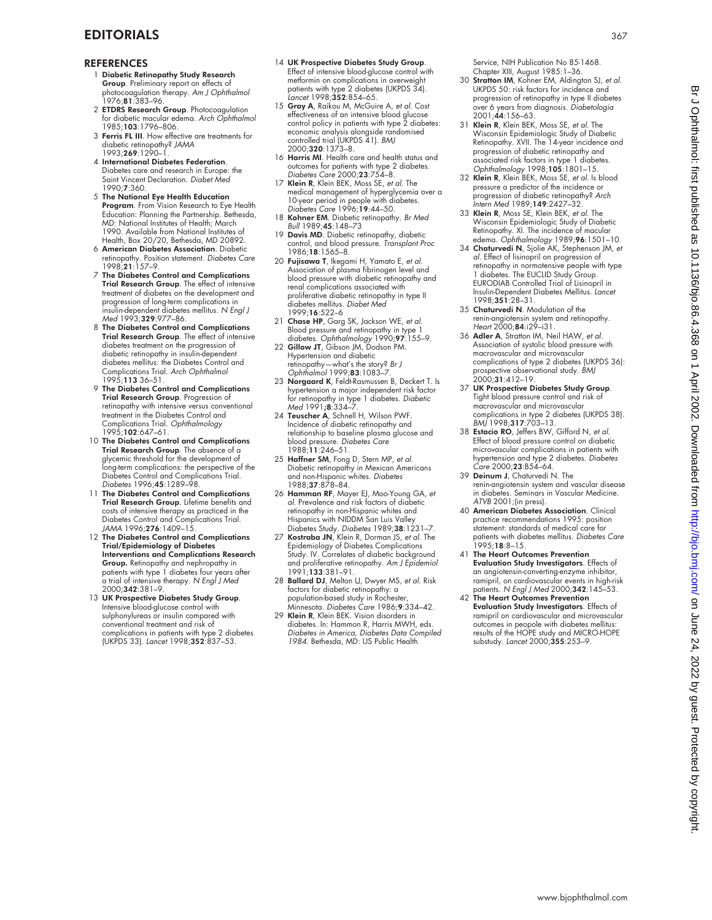## EDITORIALS <sup>367</sup>

#### **REFERENCES**

- 1 Diabetic Retinopathy Study Research **Group**. Preliminary report on effects of<br>photocoagulation therapy. A*m J Ophthalmol* 1976;81:383–96.
- 2 ETDRS Research Group. Photocoagulation for diabetic macular edema. *Arch Ophthalmol*<br>1985;**103**:1796–806.
- 3 Ferris FL III. How effective are treatments for diabetic retinopathy? JAMA 1993;269:1290–1.
- 4 International Diabetes Federation. Diabetes care and research in Europe: the Saint Vincent Declaration. Diabet Med 1990;7:360.
- 5 The National Eye Health Education Program. From Vision Research to Eye Health Education: Planning the Partnership. Bethesda, MD: National Institutes of Health; March 1990. Available from National Institutes of Health, Box 20/20, Bethesda, MD 20892.
- 6 American Diabetes Association. Diabetic retinopathy. Position statement. Diabetes Care 1998;21:157–9.
- 7 The Diabetes Control and Complications Trial Research Group. The effect of intensive treatment of diabetes on the development and progression of long-term complications in insulin-dependent diabetes mellitus. N Engl J Med 1993;329:977–86.
- 8 The Diabetes Control and Complications Trial Research Group. The effect of intensive diabetes treatment on the progression of diabetic retinopathy in insulin-dependent diabetes mellitus: the Diabetes Control and Complications Trial. Arch Ophthalmol 1995;113 36–51.
- 9 The Diabetes Control and Complications Trial Research Group. Progression of retinopathy with intensive versus conventional treatment in the Diabetes Control and Complications Trial. Ophthalmology 1995;102:647–61.
- 10 The Diabetes Control and Complications Trial Research Group. The absence of a glycemic threshold for the development of long-term complications: the perspective of the Diabetes Control and Complications Trial. Diabetes 1996;45:1289–98.
- 11 The Diabetes Control and Complications Trial Research Group. Lifetime benefits and costs of intensive therapy as practiced in the Diabetes Control and Complications Trial. JAMA 1996;276:1409–15.
- 12 The Diabetes Control and Complications Trial/Epidemiology of Diabetes Interventions and Complications Research Group. Retinopathy and nephropathy in patients with type 1 diabetes four years after a trial of intensive therapy. N Engl J Med 2000;342:381–9.
- 13 UK Prospective Diabetes Study Group. Intensive blood-glucose control with sulphonylureas or insulin compared with conventional treatment and risk of complications in patients with type 2 diabetes (UKPDS 33). Lancet 1998;352:837–53.
- 14 UK Prospective Diabetes Study Group. Effect of intensive blood-glucose control with metformin on complications in overweight patients with type 2 diabetes (UKPDS 34). .<br>Lancet 1998;**352**:854–65.
- 15 Gray A, Raikou M, McGuire A, et al. Cost effectiveness of an intensive blood glucose control policy in patients with type 2 diabetes: economic analysis alongside randomised controlled trial (UKPDS 41). BMJ 2000;320:1373–8.
- 16 Harris MI. Health care and health status and outcomes for patients with type 2 diabetes. Diabetes Care 2000;23:754–8.
- 17 Klein R, Klein BEK, Moss SE, et al. The medical management of hyperglycemia over a 10-year period in people with diabetes. Diabetes Care 1996;19:44–50.
- 18 Kohner EM. Diabetic retinopathy. Br Med Bull 1989;45:148–73
- 19 Davis MD. Diabetic retinopathy, diabetic control, and blood pressure. Transplant Proc 1986;18:1565–8.
- 20 Fujisawa T, Ikegami H, Yamato E, et al. Association of plasma fibrinogen level and blood pressure with diabetic retinopathy and renal complications associated with proliferative diabetic retinopathy in type II diabetes mellitus. Diabet Med 1999;16:522–6
- 21 Chase HP, Garg SK, Jackson WE, et al. Blood pressure and retinopathy in type 1<br>diabetes. *Ophthalmology* 1990;**97**:155–9.<br>22 **Gillow JT**, Gibson JM, Dodson PM.
- Hypertension and diabetic retinopathy—what's the story? *Br J*<br>Ophthalmol 1999;**83**:1083–7.
- 23 Norgaard K, Feldt-Rasmussen B, Deckert T. Is hypertension a major independent risk factor for retinopathy in type 1 diabetes. *Diabetic*<br>Med 1991**;8**:334–7.
- 24 Teuscher A, Schnell H, Wilson PWF Incidence of diabetic retinopathy and relationship to baseline plasma glucose and blood pressure. Diabetes Care 1988;11:246–51.
- 25 Haffner SM, Fong D, Stern MP, et al. Diabetic retinopathy in Mexican Americans and non-Hispanic whites. Diabetes 1988;37:878-84.
- 26 Hamman RF, Mayer EJ, Moo-Young GA, et al. Prevalence and risk factors of diabetic retinopathy in non-Hispanic whites and Hispanics with NIDDM San Luis Valley
- Diabetes Study. *Diabetes* 1989;**38**:1231–7.<br>27 **Kostraba JN**, Klein R, Dorman JS, *et al*. The Epidemiology of Diabetes Complications Study. IV. Correlates of diabetic background and proliferative retinopathy. Am J Epidemiol 1991;133:381–91.
- 28 **Ballard DJ**, Melton LJ, Dwyer MS, *et al.* Risk<br>factors for diabetic retinopathy: a population-based study in Rochester Minnesota. Diabetes Care 1986;9:334–42.
- 29 Klein R, Klein BEK. Vision disorders in diabetes. In: Hammon R, Harris MWH, eds. Diabetes in America, Diabetes Data Compiled 1984. Bethesda, MD: US Public Health

Service, NIH Publication No. 85-1468. Chapter XIII, August 1985:1-36.

- 30 Stratton IM, Kohner EM, Aldington SJ, et al. UKPDS 50: risk factors for incidence and progression of retinopathy in type II diabetes over 6 years from diagnosis. Diabetologia 2001;44:156–63.
- 31 Klein R, Klein BEK, Moss SE, et al. The Wisconsin Epidemiologic Study of Diabetic Retinopathy. XVII. The 14-year incidence and progression of diabetic retinopathy and associated risk factors in type 1 diabetes. Ophthalmology 1998;105:1801-15.
- 32 Klein R, Klein BEK, Moss SE, et al. Is blood pressure a predictor of the incidence or progression of diabetic retinopathy? Arch Intern Med 1989;149:2427–32.
- 33 Klein R, Moss SE, Klein BEK, et al. The Wisconsin Epidemiologic Study of Diabetic Retinopathy. XI. The incidence of macular edema. Ophthalmology 1989;96:1501-10.
- 34 Chaturvedi N, Sjolie AK, Stephenson JM, et al. Effect of lisinopril on progression of retinopathy in normotensive people with type 1 diabetes. The EUCLID Study Group. EURODIAB Controlled Trial of Lisinopril in Insulin-Dependent Diabetes Mellitus. Lancet 1998;351:28–31.
- 35 Chaturvedi N. Modulation of the renin-angiotensin system and retinopathy. Heart 2000;**84**:i29–i31
- 36 Adler A, Stratton IM, Neil HAW, et al. Association of systolic blood pressure with macrovascular and microvascular complications of type 2 diabetes (UKPDS 36): prospective observational study. BMJ 2000;31:412–19.
- 37 UK Prospective Diabetes Study Group. Tight blood pressure control and risk of macrovascular and microvascular complications in type 2 diabetes (UKPDS 38). BMJ 1998;317:703–13.
- 38 Estacio RO, Jeffers BW, Gifford N, et al. Effect of blood pressure control on diabetic microvascular complications in patients with hypertension and type 2 diabetes. Diabetes Care 2000;23:B54–64.
- 39 Deinum J, Chaturvedi N. The renin-angiotensin system and vascular disease in diabetes. Seminars in Vascular Medicine. ATVB 2001;(in press).
- 40 American Diabetes Association. Clinical practice recommendations 1995: position statement: standards of medical care for patients with diabetes mellitus. Diabetes Care  $1995;18:8-15.$
- 41 The Heart Outcomes Prevention Evaluation Study Investigators. Effects of an angiotensin-converting-enzyme inhibitor,<br>ramipril, on cardiovascular events in high-risk<br>patients. N Engl J Med 2000;**342**:145–53. The Heart Outcomes Prevention
- Evaluation Study Investigators. Effects of ramipril on cardiovascular and microvascular outcomes in peopole with diabetes mellitus: results of the HOPE study and MICRO-HOPE substudy. Lancet 2000;355:253-9.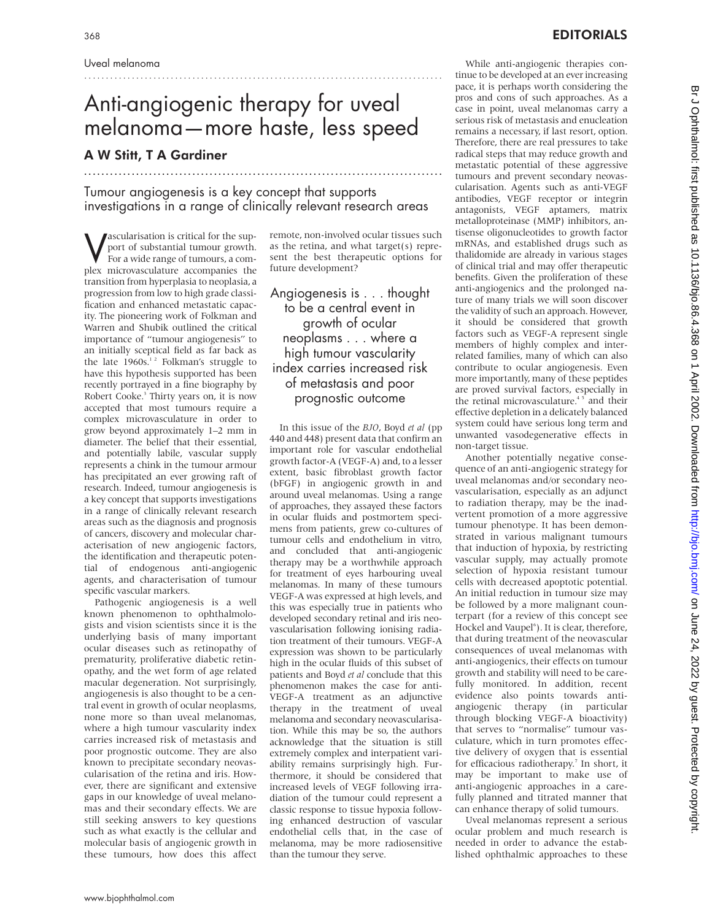#### Uveal melanoma

# Anti-angiogenic therapy for uveal melanoma—more haste, less speed

...................................................................................

## A W Stitt, T A Gardiner

Tumour angiogenesis is a key concept that supports investigations in a range of clinically relevant research areas

...................................................................................

**V** ascularisation is critical for the support of substantial tumour growth.<br>For a wide range of tumours, a complex microvasculature, accompanies, the port of substantial tumour growth. For a wide range of tumours, a complex microvasculature accompanies the transition from hyperplasia to neoplasia, a progression from low to high grade classification and enhanced metastatic capacity. The pioneering work of Folkman and Warren and Shubik outlined the critical importance of "tumour angiogenesis" to an initially sceptical field as far back as the late  $1960s$ <sup>12</sup> Folkman's struggle to have this hypothesis supported has been recently portrayed in a fine biography by Robert Cooke.3 Thirty years on, it is now accepted that most tumours require a complex microvasculature in order to grow beyond approximately 1–2 mm in diameter. The belief that their essential, and potentially labile, vascular supply represents a chink in the tumour armour has precipitated an ever growing raft of research. Indeed, tumour angiogenesis is a key concept that supports investigations in a range of clinically relevant research areas such as the diagnosis and prognosis of cancers, discovery and molecular characterisation of new angiogenic factors, the identification and therapeutic potential of endogenous anti-angiogenic agents, and characterisation of tumour specific vascular markers.

Pathogenic angiogenesis is a well known phenomenon to ophthalmologists and vision scientists since it is the underlying basis of many important ocular diseases such as retinopathy of prematurity, proliferative diabetic retinopathy, and the wet form of age related macular degeneration. Not surprisingly, angiogenesis is also thought to be a central event in growth of ocular neoplasms, none more so than uveal melanomas, where a high tumour vascularity index carries increased risk of metastasis and poor prognostic outcome. They are also known to precipitate secondary neovascularisation of the retina and iris. However, there are significant and extensive gaps in our knowledge of uveal melanomas and their secondary effects. We are still seeking answers to key questions such as what exactly is the cellular and molecular basis of angiogenic growth in these tumours, how does this affect

remote, non-involved ocular tissues such as the retina, and what target(s) represent the best therapeutic options for future development?

Angiogenesis is... thought to be a central event in growth of ocular neoplasms... where a high tumour vascularity index carries increased risk of metastasis and poor prognostic outcome

In this issue of the *BJO*, Boyd *et al* (pp 440 and 448) present data that confirm an important role for vascular endothelial growth factor-A (VEGF-A) and, to a lesser extent, basic fibroblast growth factor (bFGF) in angiogenic growth in and around uveal melanomas. Using a range of approaches, they assayed these factors in ocular fluids and postmortem specimens from patients, grew co-cultures of tumour cells and endothelium in vitro, and concluded that anti-angiogenic therapy may be a worthwhile approach for treatment of eyes harbouring uveal melanomas. In many of these tumours VEGF-A was expressed at high levels, and this was especially true in patients who developed secondary retinal and iris neovascularisation following ionising radiation treatment of their tumours. VEGF-A expression was shown to be particularly high in the ocular fluids of this subset of patients and Boyd *et al* conclude that this phenomenon makes the case for anti-VEGF-A treatment as an adjunctive therapy in the treatment of uveal melanoma and secondary neovascularisation. While this may be so, the authors acknowledge that the situation is still extremely complex and interpatient variability remains surprisingly high. Furthermore, it should be considered that increased levels of VEGF following irradiation of the tumour could represent a classic response to tissue hypoxia following enhanced destruction of vascular endothelial cells that, in the case of melanoma, may be more radiosensitive than the tumour they serve.

While anti-angiogenic therapies continue to be developed at an ever increasing pace, it is perhaps worth considering the pros and cons of such approaches. As a case in point, uveal melanomas carry a serious risk of metastasis and enucleation remains a necessary, if last resort, option. Therefore, there are real pressures to take radical steps that may reduce growth and metastatic potential of these aggressive tumours and prevent secondary neovascularisation. Agents such as anti-VEGF antibodies, VEGF receptor or integrin antagonists, VEGF aptamers, matrix metalloproteinase (MMP) inhibitors, antisense oligonucleotides to growth factor mRNAs, and established drugs such as thalidomide are already in various stages of clinical trial and may offer therapeutic benefits. Given the proliferation of these anti-angiogenics and the prolonged nature of many trials we will soon discover the validity of such an approach. However, it should be considered that growth factors such as VEGF-A represent single members of highly complex and interrelated families, many of which can also contribute to ocular angiogenesis. Even more importantly, many of these peptides are proved survival factors, especially in the retinal microvasculature.<sup>45</sup> and their effective depletion in a delicately balanced system could have serious long term and unwanted vasodegenerative effects in non-target tissue. Another potentially negative consequence of an anti-angiogenic strategy for

uveal melanomas and/or secondary neovascularisation, especially as an adjunct to radiation therapy, may be the inadvertent promotion of a more aggressive tumour phenotype. It has been demonstrated in various malignant tumours that induction of hypoxia, by restricting vascular supply, may actually promote selection of hypoxia resistant tumour cells with decreased apoptotic potential. An initial reduction in tumour size may be followed by a more malignant counterpart (for a review of this concept see Hockel and Vaupel<sup>6</sup>). It is clear, therefore, that during treatment of the neovascular consequences of uveal melanomas with anti-angiogenics, their effects on tumour growth and stability will need to be carefully monitored. In addition, recent evidence also points towards antiangiogenic therapy (in particular through blocking VEGF-A bioactivity) that serves to "normalise" tumour vasculature, which in turn promotes effective delivery of oxygen that is essential for efficacious radiotherapy.<sup>7</sup> In short, it may be important to make use of anti-angiogenic approaches in a carefully planned and titrated manner that can enhance therapy of solid tumours.

Uveal melanomas represent a serious ocular problem and much research is needed in order to advance the established ophthalmic approaches to these